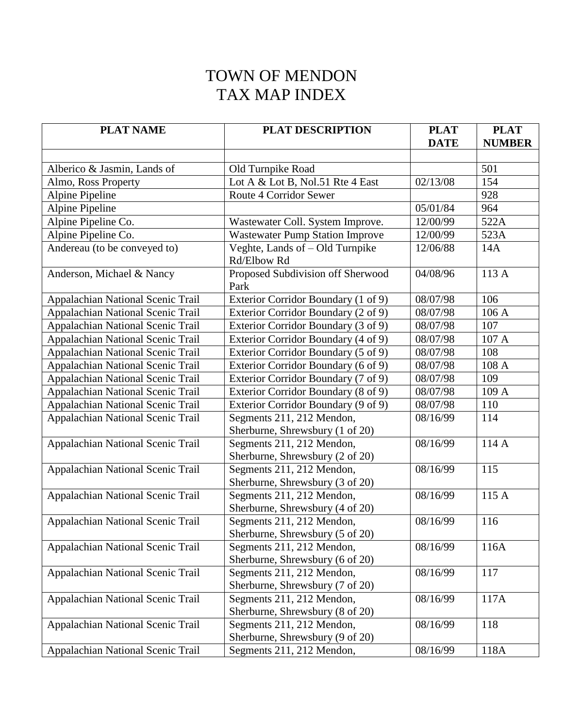## TOWN OF MENDON TAX MAP INDEX

| <b>PLAT NAME</b>                  | <b>PLAT DESCRIPTION</b>                                      | <b>PLAT</b> | <b>PLAT</b>   |
|-----------------------------------|--------------------------------------------------------------|-------------|---------------|
|                                   |                                                              | <b>DATE</b> | <b>NUMBER</b> |
|                                   |                                                              |             |               |
| Alberico & Jasmin, Lands of       | Old Turnpike Road                                            |             | 501           |
| Almo, Ross Property               | Lot A & Lot B, Nol.51 Rte 4 East                             | 02/13/08    | 154           |
| Alpine Pipeline                   | Route 4 Corridor Sewer                                       |             | 928           |
| <b>Alpine Pipeline</b>            |                                                              | 05/01/84    | 964           |
| Alpine Pipeline Co.               | Wastewater Coll. System Improve.                             | 12/00/99    | 522A          |
| Alpine Pipeline Co.               | <b>Wastewater Pump Station Improve</b>                       | 12/00/99    | 523A          |
| Andereau (to be conveyed to)      | Veghte, Lands of - Old Turnpike<br>Rd/Elbow Rd               | 12/06/88    | 14A           |
| Anderson, Michael & Nancy         | Proposed Subdivision off Sherwood<br>Park                    | 04/08/96    | 113 A         |
| Appalachian National Scenic Trail | Exterior Corridor Boundary (1 of 9)                          | 08/07/98    | 106           |
| Appalachian National Scenic Trail | Exterior Corridor Boundary (2 of 9)                          | 08/07/98    | 106 A         |
| Appalachian National Scenic Trail | Exterior Corridor Boundary (3 of 9)                          | 08/07/98    | 107           |
| Appalachian National Scenic Trail | Exterior Corridor Boundary (4 of 9)                          | 08/07/98    | 107 A         |
| Appalachian National Scenic Trail | Exterior Corridor Boundary (5 of 9)                          | 08/07/98    | 108           |
| Appalachian National Scenic Trail | Exterior Corridor Boundary (6 of 9)                          | 08/07/98    | 108 A         |
| Appalachian National Scenic Trail | Exterior Corridor Boundary (7 of 9)                          | 08/07/98    | 109           |
| Appalachian National Scenic Trail | Exterior Corridor Boundary (8 of 9)                          | 08/07/98    | 109 A         |
| Appalachian National Scenic Trail | Exterior Corridor Boundary (9 of 9)                          | 08/07/98    | 110           |
| Appalachian National Scenic Trail | Segments 211, 212 Mendon,<br>Sherburne, Shrewsbury (1 of 20) | 08/16/99    | 114           |
| Appalachian National Scenic Trail | Segments 211, 212 Mendon,<br>Sherburne, Shrewsbury (2 of 20) | 08/16/99    | 114 A         |
| Appalachian National Scenic Trail | Segments 211, 212 Mendon,<br>Sherburne, Shrewsbury (3 of 20) | 08/16/99    | 115           |
| Appalachian National Scenic Trail | Segments 211, 212 Mendon,<br>Sherburne, Shrewsbury (4 of 20) | 08/16/99    | 115 A         |
| Appalachian National Scenic Trail | Segments 211, 212 Mendon,<br>Sherburne, Shrewsbury (5 of 20) | 08/16/99    | 116           |
| Appalachian National Scenic Trail | Segments 211, 212 Mendon,<br>Sherburne, Shrewsbury (6 of 20) | 08/16/99    | 116A          |
| Appalachian National Scenic Trail | Segments 211, 212 Mendon,<br>Sherburne, Shrewsbury (7 of 20) | 08/16/99    | 117           |
| Appalachian National Scenic Trail | Segments 211, 212 Mendon,<br>Sherburne, Shrewsbury (8 of 20) | 08/16/99    | 117A          |
| Appalachian National Scenic Trail | Segments 211, 212 Mendon,<br>Sherburne, Shrewsbury (9 of 20) | 08/16/99    | 118           |
| Appalachian National Scenic Trail | Segments 211, 212 Mendon,                                    | 08/16/99    | 118A          |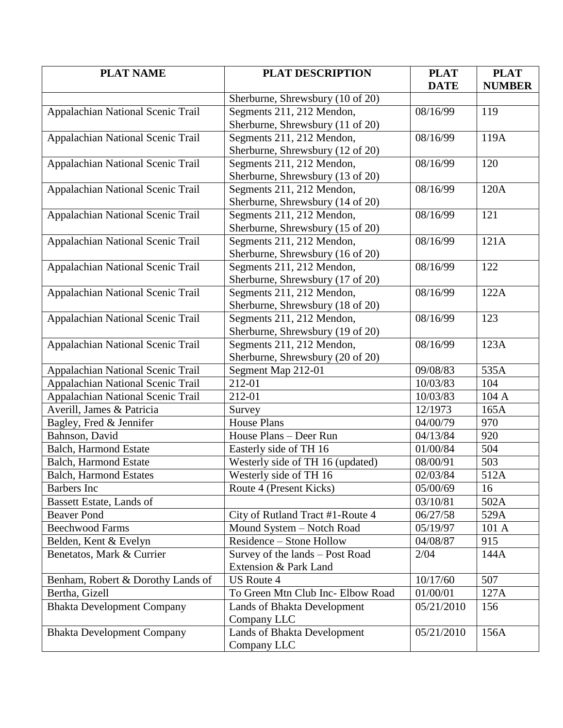| <b>PLAT NAME</b>                  | <b>PLAT DESCRIPTION</b>           | <b>PLAT</b> | <b>PLAT</b>   |
|-----------------------------------|-----------------------------------|-------------|---------------|
|                                   |                                   | <b>DATE</b> | <b>NUMBER</b> |
|                                   | Sherburne, Shrewsbury (10 of 20)  |             |               |
| Appalachian National Scenic Trail | Segments 211, 212 Mendon,         | 08/16/99    | 119           |
|                                   | Sherburne, Shrewsbury (11 of 20)  |             |               |
| Appalachian National Scenic Trail | Segments 211, 212 Mendon,         | 08/16/99    | 119A          |
|                                   | Sherburne, Shrewsbury (12 of 20)  |             |               |
| Appalachian National Scenic Trail | Segments 211, 212 Mendon,         | 08/16/99    | 120           |
|                                   | Sherburne, Shrewsbury (13 of 20)  |             |               |
| Appalachian National Scenic Trail | Segments 211, 212 Mendon,         | 08/16/99    | 120A          |
|                                   | Sherburne, Shrewsbury (14 of 20)  |             |               |
| Appalachian National Scenic Trail | Segments 211, 212 Mendon,         | 08/16/99    | 121           |
|                                   | Sherburne, Shrewsbury (15 of 20)  |             |               |
| Appalachian National Scenic Trail | Segments 211, 212 Mendon,         | 08/16/99    | 121A          |
|                                   | Sherburne, Shrewsbury (16 of 20)  |             |               |
| Appalachian National Scenic Trail | Segments 211, 212 Mendon,         | 08/16/99    | 122           |
|                                   | Sherburne, Shrewsbury (17 of 20)  |             |               |
| Appalachian National Scenic Trail | Segments 211, 212 Mendon,         | 08/16/99    | 122A          |
|                                   | Sherburne, Shrewsbury (18 of 20)  |             |               |
| Appalachian National Scenic Trail | Segments 211, 212 Mendon,         | 08/16/99    | 123           |
|                                   | Sherburne, Shrewsbury (19 of 20)  |             |               |
| Appalachian National Scenic Trail | Segments 211, 212 Mendon,         | 08/16/99    | 123A          |
|                                   | Sherburne, Shrewsbury (20 of 20)  |             |               |
| Appalachian National Scenic Trail | Segment Map 212-01                | 09/08/83    | 535A          |
| Appalachian National Scenic Trail | 212-01                            | 10/03/83    | 104           |
| Appalachian National Scenic Trail | 212-01                            | 10/03/83    | 104 A         |
| Averill, James & Patricia         | Survey                            | 12/1973     | 165A          |
| Bagley, Fred & Jennifer           | <b>House Plans</b>                | 04/00/79    | 970           |
| Bahnson, David                    | House Plans - Deer Run            | 04/13/84    | 920           |
| <b>Balch, Harmond Estate</b>      | Easterly side of TH 16            | 01/00/84    | 504           |
| <b>Balch, Harmond Estate</b>      | Westerly side of TH 16 (updated)  | 08/00/91    | 503           |
| <b>Balch, Harmond Estates</b>     | Westerly side of TH 16            | 02/03/84    | 512A          |
| Barbers Inc                       | Route 4 (Present Kicks)           | 05/00/69    | 16            |
| Bassett Estate, Lands of          |                                   | 03/10/81    | 502A          |
| <b>Beaver Pond</b>                | City of Rutland Tract #1-Route 4  | 06/27/58    | 529A          |
| <b>Beechwood Farms</b>            | Mound System - Notch Road         | 05/19/97    | 101 A         |
| Belden, Kent & Evelyn             | Residence - Stone Hollow          | 04/08/87    | 915           |
| Benetatos, Mark & Currier         | Survey of the lands - Post Road   | 2/04        | 144A          |
|                                   | Extension & Park Land             |             |               |
| Benham, Robert & Dorothy Lands of | <b>US Route 4</b>                 | 10/17/60    | 507           |
| Bertha, Gizell                    | To Green Mtn Club Inc- Elbow Road | 01/00/01    | 127A          |
| <b>Bhakta Development Company</b> | Lands of Bhakta Development       | 05/21/2010  | 156           |
|                                   | Company LLC                       |             |               |
| <b>Bhakta Development Company</b> | Lands of Bhakta Development       | 05/21/2010  | 156A          |
|                                   | Company LLC                       |             |               |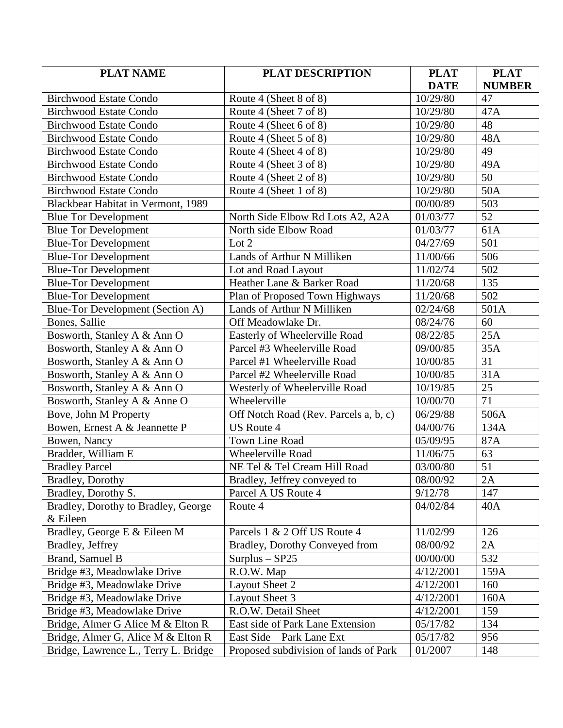| <b>PLAT NAME</b>                     | <b>PLAT DESCRIPTION</b>               | <b>PLAT</b> | <b>PLAT</b>     |
|--------------------------------------|---------------------------------------|-------------|-----------------|
|                                      |                                       | <b>DATE</b> | <b>NUMBER</b>   |
| <b>Birchwood Estate Condo</b>        | Route 4 (Sheet 8 of 8)                | 10/29/80    | 47              |
| <b>Birchwood Estate Condo</b>        | Route 4 (Sheet 7 of 8)                | 10/29/80    | 47A             |
| <b>Birchwood Estate Condo</b>        | Route 4 (Sheet 6 of 8)                | 10/29/80    | 48              |
| <b>Birchwood Estate Condo</b>        | Route 4 (Sheet 5 of 8)                | 10/29/80    | 48A             |
| <b>Birchwood Estate Condo</b>        | Route 4 (Sheet 4 of 8)                | 10/29/80    | 49              |
| <b>Birchwood Estate Condo</b>        | Route 4 (Sheet 3 of 8)                | 10/29/80    | 49A             |
| <b>Birchwood Estate Condo</b>        | Route 4 (Sheet 2 of 8)                | 10/29/80    | 50              |
| <b>Birchwood Estate Condo</b>        | Route 4 (Sheet 1 of 8)                | 10/29/80    | 50A             |
| Blackbear Habitat in Vermont, 1989   |                                       | 00/00/89    | 503             |
| <b>Blue Tor Development</b>          | North Side Elbow Rd Lots A2, A2A      | 01/03/77    | $\overline{52}$ |
| <b>Blue Tor Development</b>          | North side Elbow Road                 | 01/03/77    | 61A             |
| <b>Blue-Tor Development</b>          | Lot 2                                 | 04/27/69    | 501             |
| <b>Blue-Tor Development</b>          | Lands of Arthur N Milliken            | 11/00/66    | 506             |
| <b>Blue-Tor Development</b>          | Lot and Road Layout                   | 11/02/74    | 502             |
| <b>Blue-Tor Development</b>          | Heather Lane & Barker Road            | 11/20/68    | 135             |
| <b>Blue-Tor Development</b>          | Plan of Proposed Town Highways        | 11/20/68    | 502             |
| Blue-Tor Development (Section A)     | Lands of Arthur N Milliken            | 02/24/68    | 501A            |
| Bones, Sallie                        | Off Meadowlake Dr.                    | 08/24/76    | 60              |
| Bosworth, Stanley A & Ann O          | Easterly of Wheelerville Road         | 08/22/85    | 25A             |
| Bosworth, Stanley A & Ann O          | Parcel #3 Wheelerville Road           | 09/00/85    | 35A             |
| Bosworth, Stanley A & Ann O          | Parcel #1 Wheelerville Road           | 10/00/85    | 31              |
| Bosworth, Stanley A & Ann O          | Parcel #2 Wheelerville Road           | 10/00/85    | 31A             |
| Bosworth, Stanley A & Ann O          | Westerly of Wheelerville Road         | 10/19/85    | $\overline{25}$ |
| Bosworth, Stanley A & Anne O         | Wheelerville                          | 10/00/70    | 71              |
| Bove, John M Property                | Off Notch Road (Rev. Parcels a, b, c) | 06/29/88    | 506A            |
| Bowen, Ernest A & Jeannette P        | <b>US Route 4</b>                     | 04/00/76    | 134A            |
| Bowen, Nancy                         | <b>Town Line Road</b>                 | 05/09/95    | 87A             |
| Bradder, William E                   | Wheelerville Road                     | 11/06/75    | 63              |
| <b>Bradley Parcel</b>                | NE Tel & Tel Cream Hill Road          | 03/00/80    | 51              |
| Bradley, Dorothy                     | Bradley, Jeffrey conveyed to          | 08/00/92    | 2A              |
| Bradley, Dorothy S.                  | Parcel A US Route 4                   | 9/12/78     | 147             |
| Bradley, Dorothy to Bradley, George  | Route 4                               | 04/02/84    | 40A             |
| & Eileen                             |                                       |             |                 |
| Bradley, George E & Eileen M         | Parcels 1 & 2 Off US Route 4          | 11/02/99    | 126             |
| Bradley, Jeffrey                     | Bradley, Dorothy Conveyed from        | 08/00/92    | 2A              |
| Brand, Samuel B                      | $Surplus - SP25$                      | 00/00/00    | 532             |
| Bridge #3, Meadowlake Drive          | R.O.W. Map                            | 4/12/2001   | 159A            |
| Bridge #3, Meadowlake Drive          | Layout Sheet 2                        | 4/12/2001   | 160             |
| Bridge #3, Meadowlake Drive          | Layout Sheet 3                        | 4/12/2001   | 160A            |
| Bridge #3, Meadowlake Drive          | R.O.W. Detail Sheet                   | 4/12/2001   | 159             |
| Bridge, Almer G Alice M & Elton R    | East side of Park Lane Extension      | 05/17/82    | 134             |
| Bridge, Almer G, Alice M & Elton R   | East Side - Park Lane Ext             | 05/17/82    | 956             |
| Bridge, Lawrence L., Terry L. Bridge | Proposed subdivision of lands of Park | 01/2007     | 148             |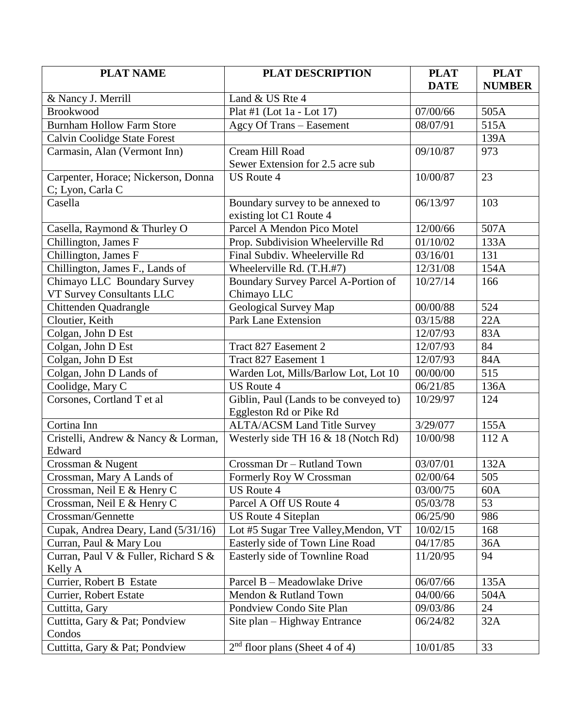| <b>PLAT NAME</b>                     | <b>PLAT DESCRIPTION</b>                | <b>PLAT</b> | <b>PLAT</b>   |
|--------------------------------------|----------------------------------------|-------------|---------------|
|                                      |                                        | <b>DATE</b> | <b>NUMBER</b> |
| & Nancy J. Merrill                   | Land & US Rte 4                        |             |               |
| <b>Brookwood</b>                     | Plat #1 (Lot $1a -$ Lot $17$ )         | 07/00/66    | 505A          |
| <b>Burnham Hollow Farm Store</b>     | Agcy Of Trans - Easement               | 08/07/91    | 515A          |
| <b>Calvin Coolidge State Forest</b>  |                                        |             | 139A          |
| Carmasin, Alan (Vermont Inn)         | Cream Hill Road                        | 09/10/87    | 973           |
|                                      | Sewer Extension for 2.5 acre sub       |             |               |
| Carpenter, Horace; Nickerson, Donna  | <b>US Route 4</b>                      | 10/00/87    | 23            |
| C; Lyon, Carla C                     |                                        |             |               |
| Casella                              | Boundary survey to be annexed to       | 06/13/97    | 103           |
|                                      | existing lot C1 Route 4                |             |               |
| Casella, Raymond & Thurley O         | Parcel A Mendon Pico Motel             | 12/00/66    | 507A          |
| Chillington, James F                 | Prop. Subdivision Wheelerville Rd      | 01/10/02    | 133A          |
| Chillington, James F                 | Final Subdiv. Wheelerville Rd          | 03/16/01    | 131           |
| Chillington, James F., Lands of      | Wheelerville Rd. (T.H.#7)              | 12/31/08    | 154A          |
| Chimayo LLC Boundary Survey          | Boundary Survey Parcel A-Portion of    | 10/27/14    | 166           |
| VT Survey Consultants LLC            | Chimayo LLC                            |             |               |
| Chittenden Quadrangle                | Geological Survey Map                  | 00/00/88    | 524           |
| Cloutier, Keith                      | <b>Park Lane Extension</b>             | 03/15/88    | 22A           |
| Colgan, John D Est                   |                                        | 12/07/93    | 83A           |
| Colgan, John D Est                   | Tract 827 Easement 2                   | 12/07/93    | 84            |
| Colgan, John D Est                   | Tract 827 Easement 1                   | 12/07/93    | 84A           |
| Colgan, John D Lands of              | Warden Lot, Mills/Barlow Lot, Lot 10   | 00/00/00    | 515           |
| Coolidge, Mary C                     | <b>US Route 4</b>                      | 06/21/85    | 136A          |
| Corsones, Cortland T et al           | Giblin, Paul (Lands to be conveyed to) | 10/29/97    | 124           |
|                                      | Eggleston Rd or Pike Rd                |             |               |
| Cortina Inn                          | <b>ALTA/ACSM Land Title Survey</b>     | 3/29/077    | 155A          |
| Cristelli, Andrew & Nancy & Lorman,  | Westerly side TH 16 & 18 (Notch Rd)    | 10/00/98    | 112 A         |
| Edward                               |                                        |             |               |
| Crossman & Nugent                    | Crossman Dr - Rutland Town             | 03/07/01    | 132A          |
| Crossman, Mary A Lands of            | Formerly Roy W Crossman                | 02/00/64    | 505           |
| Crossman, Neil E & Henry C           | US Route 4                             | 03/00/75    | 60A           |
| Crossman, Neil E & Henry C           | Parcel A Off US Route 4                | 05/03/78    | 53            |
| Crossman/Gennette                    | <b>US Route 4 Siteplan</b>             | 06/25/90    | 986           |
| Cupak, Andrea Deary, Land (5/31/16)  | Lot #5 Sugar Tree Valley, Mendon, VT   | 10/02/15    | 168           |
| Curran, Paul & Mary Lou              | Easterly side of Town Line Road        | 04/17/85    | 36A           |
| Curran, Paul V & Fuller, Richard S & | Easterly side of Townline Road         | 11/20/95    | 94            |
| Kelly A                              |                                        |             |               |
| Currier, Robert B Estate             | Parcel B - Meadowlake Drive            | 06/07/66    | 135A          |
| Currier, Robert Estate               | Mendon & Rutland Town                  | 04/00/66    | 504A          |
| Cuttitta, Gary                       | Pondview Condo Site Plan               | 09/03/86    | 24            |
| Cuttitta, Gary & Pat; Pondview       | Site plan – Highway Entrance           | 06/24/82    | 32A           |
| Condos                               |                                        |             |               |
| Cuttitta, Gary & Pat; Pondview       | $2nd$ floor plans (Sheet 4 of 4)       | 10/01/85    | 33            |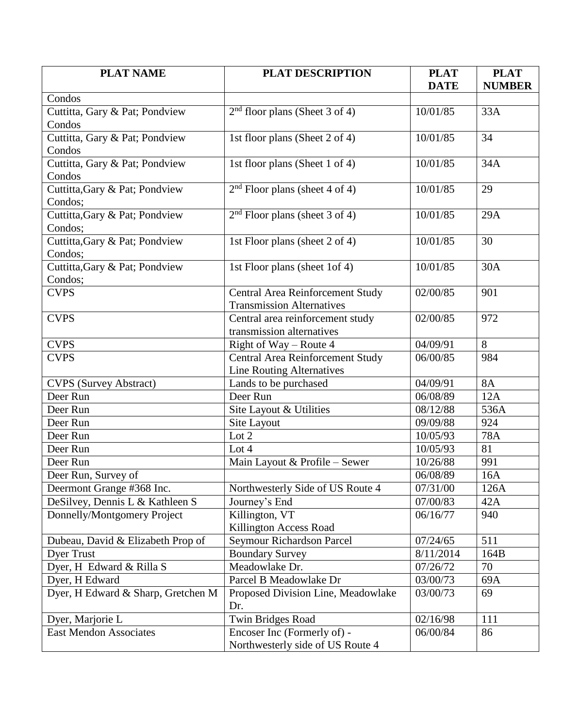| <b>PLAT NAME</b>                         | <b>PLAT DESCRIPTION</b>                 | <b>PLAT</b> | <b>PLAT</b>   |
|------------------------------------------|-----------------------------------------|-------------|---------------|
| Condos                                   |                                         | <b>DATE</b> | <b>NUMBER</b> |
|                                          |                                         |             |               |
| Cuttitta, Gary & Pat; Pondview<br>Condos | $2nd$ floor plans (Sheet 3 of 4)        | 10/01/85    | 33A           |
| Cuttitta, Gary & Pat; Pondview           | 1st floor plans (Sheet 2 of 4)          | 10/01/85    | 34            |
| Condos                                   |                                         |             |               |
| Cuttitta, Gary & Pat; Pondview           | 1st floor plans (Sheet 1 of 4)          | 10/01/85    | 34A           |
| Condos                                   |                                         |             |               |
| Cuttitta, Gary & Pat; Pondview           | $2nd$ Floor plans (sheet 4 of 4)        | 10/01/85    | 29            |
| Condos;                                  |                                         |             |               |
| Cuttitta, Gary & Pat; Pondview           | $2nd$ Floor plans (sheet 3 of 4)        | 10/01/85    | 29A           |
| Condos;                                  |                                         |             |               |
| Cuttitta, Gary & Pat; Pondview           | 1st Floor plans (sheet 2 of 4)          | 10/01/85    | 30            |
| Condos;                                  |                                         |             |               |
| Cuttitta, Gary & Pat; Pondview           | 1st Floor plans (sheet 1of 4)           | 10/01/85    | 30A           |
| Condos;                                  |                                         |             |               |
| <b>CVPS</b>                              | Central Area Reinforcement Study        | 02/00/85    | 901           |
|                                          | <b>Transmission Alternatives</b>        |             |               |
| <b>CVPS</b>                              | Central area reinforcement study        | 02/00/85    | 972           |
|                                          | transmission alternatives               |             |               |
| <b>CVPS</b>                              | Right of Way - Route 4                  | 04/09/91    | 8             |
| <b>CVPS</b>                              | <b>Central Area Reinforcement Study</b> | 06/00/85    | 984           |
|                                          | <b>Line Routing Alternatives</b>        |             |               |
| <b>CVPS</b> (Survey Abstract)            | Lands to be purchased                   | 04/09/91    | <b>8A</b>     |
| Deer Run                                 | Deer Run                                | 06/08/89    | 12A           |
| Deer Run                                 | Site Layout & Utilities                 | 08/12/88    | 536A          |
| Deer Run                                 | Site Layout                             | 09/09/88    | 924           |
| Deer Run                                 | Lot 2                                   | 10/05/93    | <b>78A</b>    |
| Deer Run                                 | Lot 4                                   | 10/05/93    | 81            |
| Deer Run                                 | Main Layout & Profile - Sewer           | 10/26/88    | 991           |
| Deer Run, Survey of                      |                                         | 06/08/89    | 16A           |
| Deermont Grange #368 Inc.                | Northwesterly Side of US Route 4        | 07/31/00    | 126A          |
| DeSilvey, Dennis L & Kathleen S          | Journey's End                           | 07/00/83    | 42A           |
| Donnelly/Montgomery Project              | Killington, VT                          | 06/16/77    | 940           |
|                                          | Killington Access Road                  |             |               |
| Dubeau, David & Elizabeth Prop of        | Seymour Richardson Parcel               | 07/24/65    | 511           |
| <b>Dyer Trust</b>                        | <b>Boundary Survey</b>                  | 8/11/2014   | 164B          |
| Dyer, H Edward & Rilla S                 | Meadowlake Dr.                          | 07/26/72    | 70            |
| Dyer, H Edward                           | Parcel B Meadowlake Dr                  | 03/00/73    | 69A           |
| Dyer, H Edward & Sharp, Gretchen M       | Proposed Division Line, Meadowlake      | 03/00/73    | 69            |
|                                          | Dr.                                     |             |               |
| Dyer, Marjorie L                         | <b>Twin Bridges Road</b>                | 02/16/98    | 111           |
| <b>East Mendon Associates</b>            | Encoser Inc (Formerly of) -             | 06/00/84    | 86            |
|                                          | Northwesterly side of US Route 4        |             |               |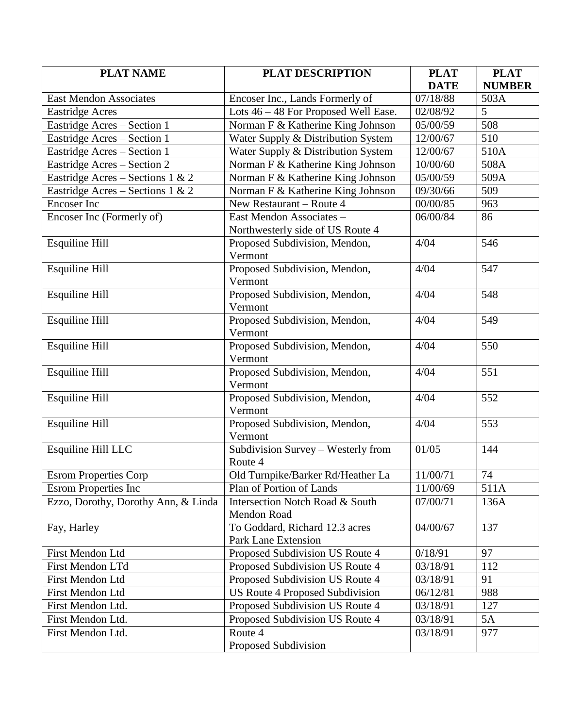| <b>PLAT NAME</b>                    | <b>PLAT DESCRIPTION</b>              | <b>PLAT</b> | <b>PLAT</b>   |
|-------------------------------------|--------------------------------------|-------------|---------------|
|                                     |                                      | <b>DATE</b> | <b>NUMBER</b> |
| <b>East Mendon Associates</b>       | Encoser Inc., Lands Formerly of      | 07/18/88    | 503A          |
| <b>Eastridge Acres</b>              | Lots 46 - 48 For Proposed Well Ease. | 02/08/92    | 5             |
| Eastridge Acres - Section 1         | Norman F & Katherine King Johnson    | 05/00/59    | 508           |
| Eastridge Acres - Section 1         | Water Supply & Distribution System   | 12/00/67    | 510           |
| Eastridge Acres - Section 1         | Water Supply & Distribution System   | 12/00/67    | 510A          |
| Eastridge Acres - Section 2         | Norman F & Katherine King Johnson    | 10/00/60    | 508A          |
| Eastridge Acres - Sections 1 & 2    | Norman F & Katherine King Johnson    | 05/00/59    | 509A          |
| Eastridge Acres – Sections 1 & 2    | Norman F & Katherine King Johnson    | 09/30/66    | 509           |
| <b>Encoser</b> Inc                  | New Restaurant – Route 4             | 00/00/85    | 963           |
| Encoser Inc (Formerly of)           | East Mendon Associates -             | 06/00/84    | 86            |
|                                     | Northwesterly side of US Route 4     |             |               |
| <b>Esquiline Hill</b>               | Proposed Subdivision, Mendon,        | 4/04        | 546           |
|                                     | Vermont                              |             |               |
| <b>Esquiline Hill</b>               | Proposed Subdivision, Mendon,        | 4/04        | 547           |
|                                     | Vermont                              |             |               |
| <b>Esquiline Hill</b>               | Proposed Subdivision, Mendon,        | 4/04        | 548           |
|                                     | Vermont                              |             |               |
| <b>Esquiline Hill</b>               | Proposed Subdivision, Mendon,        | 4/04        | 549           |
|                                     | Vermont                              |             |               |
| <b>Esquiline Hill</b>               | Proposed Subdivision, Mendon,        | 4/04        | 550           |
|                                     | Vermont                              |             |               |
| <b>Esquiline Hill</b>               | Proposed Subdivision, Mendon,        | 4/04        | 551           |
|                                     | Vermont                              |             |               |
| <b>Esquiline Hill</b>               | Proposed Subdivision, Mendon,        | 4/04        | 552           |
|                                     | Vermont                              |             |               |
| <b>Esquiline Hill</b>               | Proposed Subdivision, Mendon,        | 4/04        | 553           |
|                                     | Vermont                              |             |               |
| Esquiline Hill LLC                  | Subdivision Survey - Westerly from   | 01/05       | 144           |
|                                     | Route 4                              |             |               |
| <b>Esrom Properties Corp</b>        | Old Turnpike/Barker Rd/Heather La    | 11/00/71    | 74            |
| <b>Esrom Properties Inc</b>         | Plan of Portion of Lands             | 11/00/69    | 511A          |
| Ezzo, Dorothy, Dorothy Ann, & Linda | Intersection Notch Road & South      | 07/00/71    | 136A          |
|                                     | Mendon Road                          |             |               |
| Fay, Harley                         | To Goddard, Richard 12.3 acres       | 04/00/67    | 137           |
|                                     | <b>Park Lane Extension</b>           |             |               |
| First Mendon Ltd                    | Proposed Subdivision US Route 4      | 0/18/91     | 97            |
| First Mendon LTd                    | Proposed Subdivision US Route 4      | 03/18/91    | 112           |
| First Mendon Ltd                    | Proposed Subdivision US Route 4      | 03/18/91    | 91            |
| <b>First Mendon Ltd</b>             | US Route 4 Proposed Subdivision      | 06/12/81    | 988           |
| First Mendon Ltd.                   | Proposed Subdivision US Route 4      | 03/18/91    | 127           |
| First Mendon Ltd.                   | Proposed Subdivision US Route 4      | 03/18/91    | 5A            |
| First Mendon Ltd.                   | Route 4                              | 03/18/91    | 977           |
|                                     | Proposed Subdivision                 |             |               |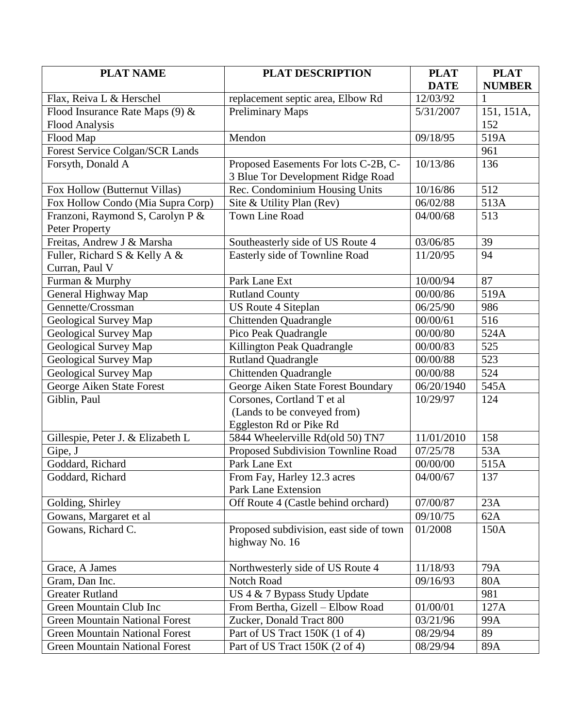| <b>PLAT NAME</b>                      | <b>PLAT DESCRIPTION</b>                 | <b>PLAT</b> | <b>PLAT</b>   |
|---------------------------------------|-----------------------------------------|-------------|---------------|
|                                       |                                         | <b>DATE</b> | <b>NUMBER</b> |
| Flax, Reiva L & Herschel              | replacement septic area, Elbow Rd       | 12/03/92    | 1             |
| Flood Insurance Rate Maps (9) &       | <b>Preliminary Maps</b>                 | 5/31/2007   | 151, 151A,    |
| <b>Flood Analysis</b>                 |                                         |             | 152           |
| Flood Map                             | Mendon                                  | 09/18/95    | 519A          |
| Forest Service Colgan/SCR Lands       |                                         |             | 961           |
| Forsyth, Donald A                     | Proposed Easements For lots C-2B, C-    | 10/13/86    | 136           |
|                                       | 3 Blue Tor Development Ridge Road       |             |               |
| Fox Hollow (Butternut Villas)         | Rec. Condominium Housing Units          | 10/16/86    | 512           |
| Fox Hollow Condo (Mia Supra Corp)     | Site & Utility Plan (Rev)               | 06/02/88    | 513A          |
| Franzoni, Raymond S, Carolyn P &      | <b>Town Line Road</b>                   | 04/00/68    | 513           |
| Peter Property                        |                                         |             |               |
| Freitas, Andrew J & Marsha            | Southeasterly side of US Route 4        | 03/06/85    | 39            |
| Fuller, Richard S & Kelly A &         | Easterly side of Townline Road          | 11/20/95    | 94            |
| Curran, Paul V                        |                                         |             |               |
| Furman & Murphy                       | Park Lane Ext                           | 10/00/94    | 87            |
| General Highway Map                   | <b>Rutland County</b>                   | 00/00/86    | 519A          |
| Gennette/Crossman                     | <b>US Route 4 Siteplan</b>              | 06/25/90    | 986           |
| Geological Survey Map                 | Chittenden Quadrangle                   | 00/00/61    | 516           |
| Geological Survey Map                 | Pico Peak Quadrangle                    | 00/00/80    | 524A          |
| Geological Survey Map                 | Killington Peak Quadrangle              | 00/00/83    | 525           |
| Geological Survey Map                 | <b>Rutland Quadrangle</b>               | 00/00/88    | 523           |
| Geological Survey Map                 | Chittenden Quadrangle                   | 00/00/88    | 524           |
| George Aiken State Forest             | George Aiken State Forest Boundary      | 06/20/1940  | 545A          |
| Giblin, Paul                          | Corsones, Cortland T et al              | 10/29/97    | 124           |
|                                       | (Lands to be conveyed from)             |             |               |
|                                       | Eggleston Rd or Pike Rd                 |             |               |
| Gillespie, Peter J. & Elizabeth L     | 5844 Wheelerville Rd(old 50) TN7        | 11/01/2010  | 158           |
| Gipe, J                               | Proposed Subdivision Townline Road      | 07/25/78    | 53A           |
| Goddard, Richard                      | Park Lane Ext                           | 00/00/00    | 515A          |
| Goddard, Richard                      | From Fay, Harley 12.3 acres             | 04/00/67    | 137           |
|                                       | Park Lane Extension                     |             |               |
| Golding, Shirley                      | Off Route 4 (Castle behind orchard)     | 07/00/87    | 23A           |
| Gowans, Margaret et al                |                                         | 09/10/75    | 62A           |
| Gowans, Richard C.                    | Proposed subdivision, east side of town | 01/2008     | 150A          |
|                                       | highway No. 16                          |             |               |
|                                       |                                         |             |               |
| Grace, A James                        | Northwesterly side of US Route 4        | 11/18/93    | 79A           |
| Gram, Dan Inc.                        | <b>Notch Road</b>                       | 09/16/93    | 80A           |
| <b>Greater Rutland</b>                | US 4 & 7 Bypass Study Update            |             | 981           |
| Green Mountain Club Inc               | From Bertha, Gizell - Elbow Road        | 01/00/01    | 127A          |
| <b>Green Mountain National Forest</b> | Zucker, Donald Tract 800                | 03/21/96    | 99A           |
| <b>Green Mountain National Forest</b> | Part of US Tract 150K (1 of 4)          | 08/29/94    | 89            |
| <b>Green Mountain National Forest</b> | Part of US Tract 150K (2 of 4)          | 08/29/94    | 89A           |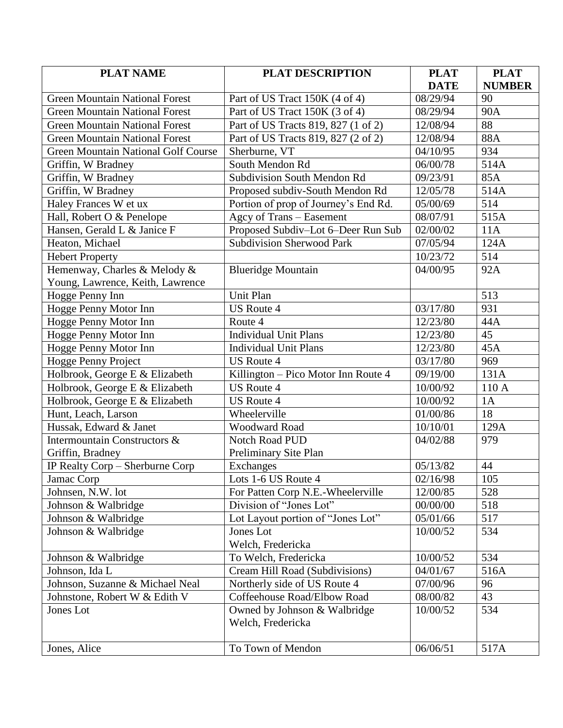| <b>PLAT NAME</b>                           | <b>PLAT DESCRIPTION</b>              | <b>PLAT</b>       | <b>PLAT</b>   |
|--------------------------------------------|--------------------------------------|-------------------|---------------|
|                                            |                                      | <b>DATE</b>       | <b>NUMBER</b> |
| <b>Green Mountain National Forest</b>      | Part of US Tract 150K (4 of 4)       | 08/29/94          | 90            |
| <b>Green Mountain National Forest</b>      | Part of US Tract 150K (3 of 4)       | 08/29/94          | <b>90A</b>    |
| <b>Green Mountain National Forest</b>      | Part of US Tracts 819, 827 (1 of 2)  | 12/08/94          | 88            |
| <b>Green Mountain National Forest</b>      | Part of US Tracts 819, 827 (2 of 2)  | 12/08/94          | 88A           |
| <b>Green Mountain National Golf Course</b> | Sherburne, VT                        | 04/10/95          | 934           |
| Griffin, W Bradney                         | South Mendon Rd                      | 06/00/78          | 514A          |
| Griffin, W Bradney                         | <b>Subdivision South Mendon Rd</b>   | 09/23/91          | 85A           |
| Griffin, W Bradney                         | Proposed subdiv-South Mendon Rd      | 12/05/78          | 514A          |
| Haley Frances W et ux                      | Portion of prop of Journey's End Rd. | 05/00/69          | 514           |
| Hall, Robert O & Penelope                  | Agcy of Trans - Easement             | 08/07/91          | 515A          |
| Hansen, Gerald L & Janice F                | Proposed Subdiv-Lot 6-Deer Run Sub   | 02/00/02          | 11A           |
| Heaton, Michael                            | <b>Subdivision Sherwood Park</b>     | 07/05/94          | 124A          |
| <b>Hebert Property</b>                     |                                      | 10/23/72          | 514           |
| Hemenway, Charles & Melody &               | <b>Blueridge Mountain</b>            | 04/00/95          | 92A           |
| Young, Lawrence, Keith, Lawrence           |                                      |                   |               |
| Hogge Penny Inn                            | Unit Plan                            |                   | 513           |
| Hogge Penny Motor Inn                      | <b>US Route 4</b>                    | 03/17/80          | 931           |
| Hogge Penny Motor Inn                      | Route 4                              | 12/23/80          | 44A           |
| Hogge Penny Motor Inn                      | <b>Individual Unit Plans</b>         | 12/23/80          | 45            |
| Hogge Penny Motor Inn                      | <b>Individual Unit Plans</b>         | 12/23/80          | 45A           |
| Hogge Penny Project                        | <b>US Route 4</b>                    | 03/17/80          | 969           |
| Holbrook, George E & Elizabeth             | Killington – Pico Motor Inn Route 4  | 09/19/00          | 131A          |
| Holbrook, George E & Elizabeth             | <b>US Route 4</b>                    | 10/00/92          | 110 A         |
| Holbrook, George E & Elizabeth             | <b>US Route 4</b>                    | 10/00/92          | 1A            |
| Hunt, Leach, Larson                        | Wheelerville                         | 01/00/86          | 18            |
| Hussak, Edward & Janet                     | Woodward Road                        | 10/10/01          | 129A          |
| Intermountain Constructors &               | <b>Notch Road PUD</b>                | 04/02/88          | 979           |
| Griffin, Bradney                           | Preliminary Site Plan                |                   |               |
| IP Realty Corp - Sherburne Corp            | Exchanges                            | 05/13/82          | 44            |
| Jamac Corp                                 | Lots 1-6 US Route 4                  | $\sqrt{02}/16/98$ | 105           |
| Johnsen, N.W. lot                          | For Patten Corp N.E.-Wheelerville    | 12/00/85          | 528           |
| Johnson & Walbridge                        | Division of "Jones Lot"              | 00/00/00          | 518           |
| Johnson & Walbridge                        | Lot Layout portion of "Jones Lot"    | 05/01/66          | 517           |
| Johnson & Walbridge                        | Jones Lot                            | 10/00/52          | 534           |
|                                            | Welch, Fredericka                    |                   |               |
| Johnson & Walbridge                        | To Welch, Fredericka                 | 10/00/52          | 534           |
| Johnson, Ida L                             | Cream Hill Road (Subdivisions)       | 04/01/67          | 516A          |
| Johnson, Suzanne & Michael Neal            | Northerly side of US Route 4         | 07/00/96          | 96            |
| Johnstone, Robert W & Edith V              | Coffeehouse Road/Elbow Road          | 08/00/82          | 43            |
| Jones Lot                                  | Owned by Johnson & Walbridge         | 10/00/52          | 534           |
|                                            | Welch, Fredericka                    |                   |               |
|                                            |                                      |                   |               |
| Jones, Alice                               | To Town of Mendon                    | 06/06/51          | 517A          |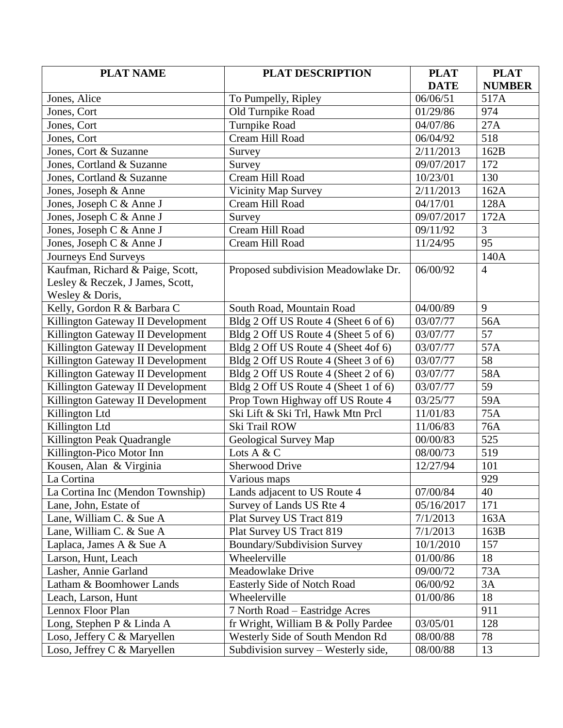| <b>PLAT NAME</b>                  | <b>PLAT DESCRIPTION</b>              | <b>PLAT</b> | <b>PLAT</b>     |
|-----------------------------------|--------------------------------------|-------------|-----------------|
|                                   |                                      | <b>DATE</b> | <b>NUMBER</b>   |
| Jones, Alice                      | To Pumpelly, Ripley                  | 06/06/51    | 517A            |
| Jones, Cort                       | Old Turnpike Road                    | 01/29/86    | 974             |
| Jones, Cort                       | <b>Turnpike Road</b>                 | 04/07/86    | 27A             |
| Jones, Cort                       | Cream Hill Road                      | 06/04/92    | 518             |
| Jones, Cort & Suzanne             | Survey                               | 2/11/2013   | 162B            |
| Jones, Cortland & Suzanne         | Survey                               | 09/07/2017  | 172             |
| Jones, Cortland & Suzanne         | Cream Hill Road                      | 10/23/01    | 130             |
| Jones, Joseph & Anne              | <b>Vicinity Map Survey</b>           | 2/11/2013   | 162A            |
| Jones, Joseph C & Anne J          | Cream Hill Road                      | 04/17/01    | 128A            |
| Jones, Joseph C & Anne J          | Survey                               | 09/07/2017  | 172A            |
| Jones, Joseph C & Anne J          | Cream Hill Road                      | 09/11/92    | 3               |
| Jones, Joseph C & Anne J          | Cream Hill Road                      | 11/24/95    | 95              |
| Journeys End Surveys              |                                      |             | 140A            |
| Kaufman, Richard & Paige, Scott,  | Proposed subdivision Meadowlake Dr.  | 06/00/92    | $\overline{4}$  |
| Lesley & Reczek, J James, Scott,  |                                      |             |                 |
| Wesley & Doris,                   |                                      |             |                 |
| Kelly, Gordon R & Barbara C       | South Road, Mountain Road            | 04/00/89    | 9               |
| Killington Gateway II Development | Bldg 2 Off US Route 4 (Sheet 6 of 6) | 03/07/77    | 56A             |
| Killington Gateway II Development | Bldg 2 Off US Route 4 (Sheet 5 of 6) | 03/07/77    | 57              |
| Killington Gateway II Development | Bldg 2 Off US Route 4 (Sheet 4of 6)  | 03/07/77    | 57A             |
| Killington Gateway II Development | Bldg 2 Off US Route 4 (Sheet 3 of 6) | 03/07/77    | $\overline{58}$ |
| Killington Gateway II Development | Bldg 2 Off US Route 4 (Sheet 2 of 6) | 03/07/77    | 58A             |
| Killington Gateway II Development | Bldg 2 Off US Route 4 (Sheet 1 of 6) | 03/07/77    | 59              |
| Killington Gateway II Development | Prop Town Highway off US Route 4     | 03/25/77    | 59A             |
| Killington Ltd                    | Ski Lift & Ski Trl, Hawk Mtn Prcl    | 11/01/83    | 75A             |
| Killington Ltd                    | Ski Trail ROW                        | 11/06/83    | 76A             |
| Killington Peak Quadrangle        | Geological Survey Map                | 00/00/83    | 525             |
| Killington-Pico Motor Inn         | Lots A $&$ C                         | 08/00/73    | 519             |
| Kousen, Alan & Virginia           | <b>Sherwood Drive</b>                | 12/27/94    | 101             |
| La Cortina                        | Various maps                         |             | 929             |
| La Cortina Inc (Mendon Township)  | Lands adjacent to US Route 4         | 07/00/84    | 40              |
| Lane, John, Estate of             | Survey of Lands US Rte 4             | 05/16/2017  | 171             |
| Lane, William C. & Sue A          | Plat Survey US Tract 819             | 7/1/2013    | 163A            |
| Lane, William C. & Sue A          | Plat Survey US Tract 819             | 7/1/2013    | 163B            |
| Laplaca, James A & Sue A          | Boundary/Subdivision Survey          | 10/1/2010   | 157             |
| Larson, Hunt, Leach               | Wheelerville                         | 01/00/86    | 18              |
| Lasher, Annie Garland             | Meadowlake Drive                     | 09/00/72    | 73A             |
| Latham & Boomhower Lands          | <b>Easterly Side of Notch Road</b>   | 06/00/92    | 3A              |
| Leach, Larson, Hunt               | Wheelerville                         | 01/00/86    | 18              |
| Lennox Floor Plan                 | 7 North Road - Eastridge Acres       |             | 911             |
| Long, Stephen P & Linda A         | fr Wright, William B & Polly Pardee  | 03/05/01    | 128             |
| Loso, Jeffery C & Maryellen       | Westerly Side of South Mendon Rd     | 08/00/88    | 78              |
| Loso, Jeffrey C & Maryellen       | Subdivision survey – Westerly side,  | 08/00/88    | 13              |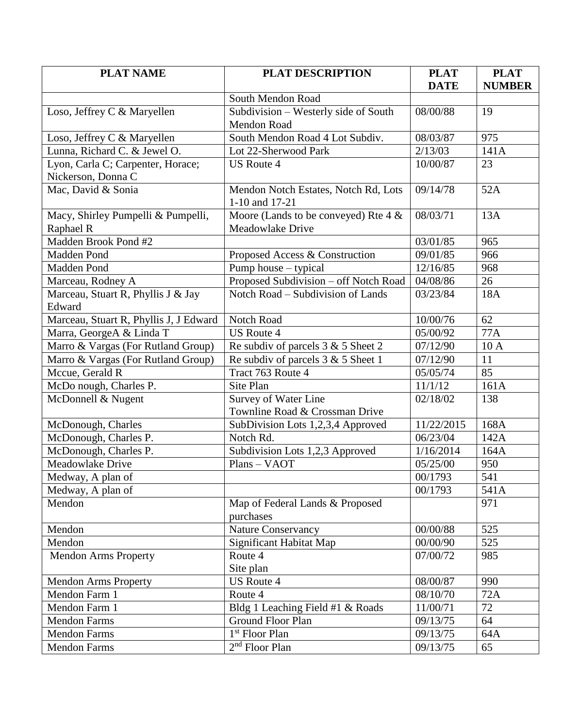| <b>PLAT NAME</b>                       | <b>PLAT DESCRIPTION</b>                 | <b>PLAT</b> | <b>PLAT</b>   |
|----------------------------------------|-----------------------------------------|-------------|---------------|
|                                        |                                         | <b>DATE</b> | <b>NUMBER</b> |
|                                        | South Mendon Road                       |             |               |
| Loso, Jeffrey C & Maryellen            | Subdivision - Westerly side of South    | 08/00/88    | 19            |
|                                        | <b>Mendon Road</b>                      |             |               |
| Loso, Jeffrey C & Maryellen            | South Mendon Road 4 Lot Subdiv.         | 08/03/87    | 975           |
| Lunna, Richard C. & Jewel O.           | Lot 22-Sherwood Park                    | 2/13/03     | 141A          |
| Lyon, Carla C; Carpenter, Horace;      | <b>US Route 4</b>                       | 10/00/87    | 23            |
| Nickerson, Donna C                     |                                         |             |               |
| Mac, David & Sonia                     | Mendon Notch Estates, Notch Rd, Lots    | 09/14/78    | 52A           |
|                                        | 1-10 and 17-21                          |             |               |
| Macy, Shirley Pumpelli & Pumpelli,     | Moore (Lands to be conveyed) Rte $4 &e$ | 08/03/71    | 13A           |
| Raphael R                              | Meadowlake Drive                        |             |               |
| Madden Brook Pond #2                   |                                         | 03/01/85    | 965           |
| Madden Pond                            | Proposed Access & Construction          | 09/01/85    | 966           |
| Madden Pond                            | Pump house – typical                    | 12/16/85    | 968           |
| Marceau, Rodney A                      | Proposed Subdivision - off Notch Road   | 04/08/86    | 26            |
| Marceau, Stuart R, Phyllis J & Jay     | Notch Road – Subdivision of Lands       | 03/23/84    | 18A           |
| Edward                                 |                                         |             |               |
| Marceau, Stuart R, Phyllis J, J Edward | Notch Road                              | 10/00/76    | 62            |
| Marra, GeorgeA & Linda T               | <b>US Route 4</b>                       | 05/00/92    | 77A           |
| Marro & Vargas (For Rutland Group)     | Re subdiv of parcels $3 & 5$ Sheet 2    | 07/12/90    | 10A           |
| Marro & Vargas (For Rutland Group)     | Re subdiv of parcels $3 & 5$ Sheet 1    | 07/12/90    | 11            |
| Mccue, Gerald R                        | Tract 763 Route 4                       | 05/05/74    | 85            |
| McDo nough, Charles P.                 | Site Plan                               | 11/1/12     | 161A          |
| McDonnell & Nugent                     | Survey of Water Line                    | 02/18/02    | 138           |
|                                        | Townline Road & Crossman Drive          |             |               |
| McDonough, Charles                     | SubDivision Lots 1,2,3,4 Approved       | 11/22/2015  | 168A          |
| McDonough, Charles P.                  | Notch Rd.                               | 06/23/04    | 142A          |
| McDonough, Charles P.                  | Subdivision Lots 1,2,3 Approved         | 1/16/2014   | 164A          |
| Meadowlake Drive                       | Plans - VAOT                            | 05/25/00    | 950           |
| Medway, A plan of                      |                                         | 00/1793     | 541           |
| Medway, A plan of                      |                                         | 00/1793     | 541A          |
| Mendon                                 | Map of Federal Lands & Proposed         |             | 971           |
|                                        | purchases                               |             |               |
| Mendon                                 | <b>Nature Conservancy</b>               | 00/00/88    | 525           |
| Mendon                                 | Significant Habitat Map                 | 00/00/90    | 525           |
| <b>Mendon Arms Property</b>            | Route 4                                 | 07/00/72    | 985           |
|                                        | Site plan                               |             |               |
| <b>Mendon Arms Property</b>            | <b>US Route 4</b>                       | 08/00/87    | 990           |
| Mendon Farm 1                          | Route 4                                 | 08/10/70    | 72A           |
| Mendon Farm 1                          | Bldg 1 Leaching Field #1 & Roads        | 11/00/71    | 72            |
| <b>Mendon Farms</b>                    | <b>Ground Floor Plan</b>                | 09/13/75    | 64            |
| <b>Mendon Farms</b>                    | 1 <sup>st</sup> Floor Plan              | 09/13/75    | 64A           |
| Mendon Farms                           | $2nd$ Floor Plan                        | 09/13/75    | 65            |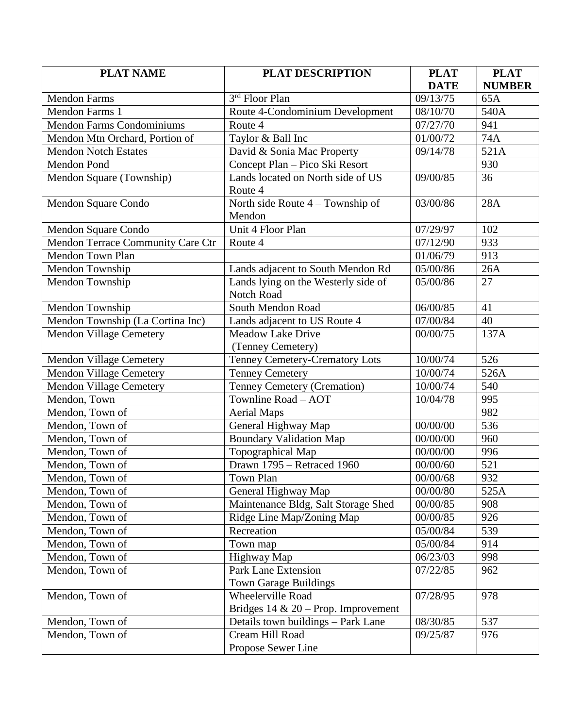| <b>PLAT NAME</b>                  | <b>PLAT DESCRIPTION</b>                | <b>PLAT</b>             | <b>PLAT</b>   |
|-----------------------------------|----------------------------------------|-------------------------|---------------|
|                                   |                                        | <b>DATE</b>             | <b>NUMBER</b> |
| <b>Mendon Farms</b>               | 3 <sup>rd</sup> Floor Plan             | 09/13/75                | 65A           |
| Mendon Farms 1                    | Route 4-Condominium Development        | 08/10/70                | 540A          |
| <b>Mendon Farms Condominiums</b>  | Route 4                                | 07/27/70                | 941           |
| Mendon Mtn Orchard, Portion of    | Taylor & Ball Inc                      | 01/00/72                | 74A           |
| <b>Mendon Notch Estates</b>       | David & Sonia Mac Property             | 09/14/78                | 521A          |
| Mendon Pond                       | Concept Plan - Pico Ski Resort         |                         | 930           |
| Mendon Square (Township)          | Lands located on North side of US      | 09/00/85                | 36            |
|                                   | Route 4                                |                         |               |
| Mendon Square Condo               | North side Route $4 -$ Township of     | 03/00/86                | 28A           |
|                                   | Mendon                                 |                         |               |
| Mendon Square Condo               | Unit 4 Floor Plan                      | 07/29/97                | 102           |
| Mendon Terrace Community Care Ctr | Route 4                                | 07/12/90                | 933           |
| Mendon Town Plan                  |                                        | 01/06/79                | 913           |
| Mendon Township                   | Lands adjacent to South Mendon Rd      | 05/00/86                | 26A           |
| Mendon Township                   | Lands lying on the Westerly side of    | 05/00/86                | 27            |
|                                   | <b>Notch Road</b>                      |                         |               |
| Mendon Township                   | South Mendon Road                      | 06/00/85                | 41            |
| Mendon Township (La Cortina Inc)  | Lands adjacent to US Route 4           | 07/00/84                | 40            |
| <b>Mendon Village Cemetery</b>    | <b>Meadow Lake Drive</b>               | 00/00/75                | 137A          |
|                                   | (Tenney Cemetery)                      |                         |               |
| Mendon Village Cemetery           | Tenney Cemetery-Crematory Lots         | 10/00/74                | 526           |
| <b>Mendon Village Cemetery</b>    | <b>Tenney Cemetery</b>                 | 10/00/74                | 526A          |
| <b>Mendon Village Cemetery</b>    | Tenney Cemetery (Cremation)            | 10/00/74                | 540           |
| Mendon, Town                      | Townline Road - AOT                    | 10/04/78                | 995           |
| Mendon, Town of                   | <b>Aerial Maps</b>                     |                         | 982           |
| Mendon, Town of                   | General Highway Map                    | 00/00/00                | 536           |
| Mendon, Town of                   | <b>Boundary Validation Map</b>         | $\frac{1}{00}$ 00/00/00 | 960           |
| Mendon, Town of                   | Topographical Map                      | 00/00/00                | 996           |
| Mendon, Town of                   | Drawn 1795 - Retraced 1960             | 00/00/60                | 521           |
| Mendon, Town of                   | Town Plan                              | 00/00/68                | 932           |
| Mendon, Town of                   | General Highway Map                    | 00/00/80                | 525A          |
| Mendon, Town of                   | Maintenance Bldg, Salt Storage Shed    | 00/00/85                | 908           |
| Mendon, Town of                   | Ridge Line Map/Zoning Map              | 00/00/85                | 926           |
| Mendon, Town of                   | Recreation                             | 05/00/84                | 539           |
| Mendon, Town of                   | Town map                               | 05/00/84                | 914           |
| Mendon, Town of                   | Highway Map                            | 06/23/03                | 998           |
| Mendon, Town of                   | <b>Park Lane Extension</b>             | 07/22/85                | 962           |
|                                   | <b>Town Garage Buildings</b>           |                         |               |
| Mendon, Town of                   | Wheelerville Road                      | 07/28/95                | 978           |
|                                   | Bridges $14 \& 20$ – Prop. Improvement |                         |               |
| Mendon, Town of                   | Details town buildings - Park Lane     | 08/30/85                | 537           |
| Mendon, Town of                   | Cream Hill Road                        | 09/25/87                | 976           |
|                                   | Propose Sewer Line                     |                         |               |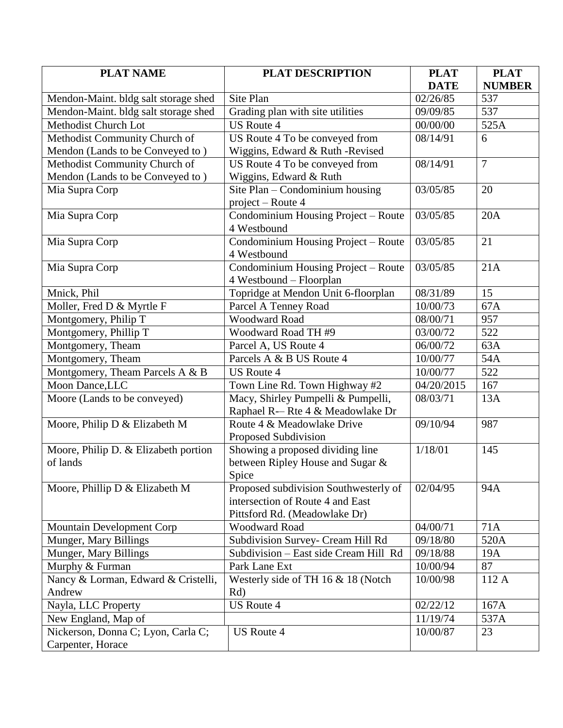| <b>PLAT NAME</b>                     | <b>PLAT DESCRIPTION</b>               | <b>PLAT</b>       | <b>PLAT</b>    |
|--------------------------------------|---------------------------------------|-------------------|----------------|
|                                      |                                       | <b>DATE</b>       | <b>NUMBER</b>  |
| Mendon-Maint. bldg salt storage shed | Site Plan                             | 02/26/85          | 537            |
| Mendon-Maint. bldg salt storage shed | Grading plan with site utilities      | 09/09/85          | 537            |
| Methodist Church Lot                 | <b>US Route 4</b>                     | 00/00/00          | 525A           |
| Methodist Community Church of        | US Route 4 To be conveyed from        | 08/14/91          | 6              |
| Mendon (Lands to be Conveyed to)     | Wiggins, Edward & Ruth - Revised      |                   |                |
| Methodist Community Church of        | US Route 4 To be conveyed from        | 08/14/91          | $\overline{7}$ |
| Mendon (Lands to be Conveyed to)     | Wiggins, Edward & Ruth                |                   |                |
| Mia Supra Corp                       | Site Plan - Condominium housing       | 03/05/85          | 20             |
|                                      | project – Route 4                     |                   |                |
| Mia Supra Corp                       | Condominium Housing Project - Route   | 03/05/85          | 20A            |
|                                      | 4 Westbound                           |                   |                |
| Mia Supra Corp                       | Condominium Housing Project - Route   | 03/05/85          | 21             |
|                                      | 4 Westbound                           |                   |                |
| Mia Supra Corp                       | Condominium Housing Project - Route   | 03/05/85          | 21A            |
|                                      | 4 Westbound – Floorplan               |                   |                |
| Mnick, Phil                          | Topridge at Mendon Unit 6-floorplan   | $\sqrt{08/31/89}$ | 15             |
| Moller, Fred D & Myrtle F            | Parcel A Tenney Road                  | 10/00/73          | 67A            |
| Montgomery, Philip T                 | <b>Woodward Road</b>                  | 08/00/71          | 957            |
| Montgomery, Phillip T                | Woodward Road TH #9                   | 03/00/72          | 522            |
| Montgomery, Theam                    | Parcel A, US Route 4                  | 06/00/72          | 63A            |
| Montgomery, Theam                    | Parcels A & B US Route 4              | 10/00/77          | 54A            |
| Montgomery, Theam Parcels A & B      | <b>US Route 4</b>                     | 10/00/77          | 522            |
| Moon Dance, LLC                      | Town Line Rd. Town Highway #2         | 04/20/2015        | 167            |
| Moore (Lands to be conveyed)         | Macy, Shirley Pumpelli & Pumpelli,    | 08/03/71          | 13A            |
|                                      | Raphael R-- Rte 4 & Meadowlake Dr     |                   |                |
| Moore, Philip D & Elizabeth M        | Route 4 & Meadowlake Drive            | 09/10/94          | 987            |
|                                      | Proposed Subdivision                  |                   |                |
| Moore, Philip D. & Elizabeth portion | Showing a proposed dividing line      | 1/18/01           | 145            |
| of lands                             | between Ripley House and Sugar &      |                   |                |
|                                      | Spice                                 |                   |                |
| Moore, Phillip D & Elizabeth M       | Proposed subdivision Southwesterly of | 02/04/95          | 94A            |
|                                      | intersection of Route 4 and East      |                   |                |
|                                      | Pittsford Rd. (Meadowlake Dr)         |                   |                |
| Mountain Development Corp            | <b>Woodward Road</b>                  | 04/00/71          | 71A            |
| Munger, Mary Billings                | Subdivision Survey- Cream Hill Rd     | 09/18/80          | 520A           |
| Munger, Mary Billings                | Subdivision - East side Cream Hill Rd | 09/18/88          | 19A            |
| Murphy & Furman                      | Park Lane Ext                         | 10/00/94          | 87             |
| Nancy & Lorman, Edward & Cristelli,  | Westerly side of TH 16 & 18 (Notch    | 10/00/98          | 112 A          |
| Andrew                               | Rd)                                   |                   |                |
| Nayla, LLC Property                  | <b>US Route 4</b>                     | 02/22/12          | 167A           |
| New England, Map of                  |                                       | 11/19/74          | 537A           |
| Nickerson, Donna C; Lyon, Carla C;   | <b>US Route 4</b>                     | 10/00/87          | 23             |
| Carpenter, Horace                    |                                       |                   |                |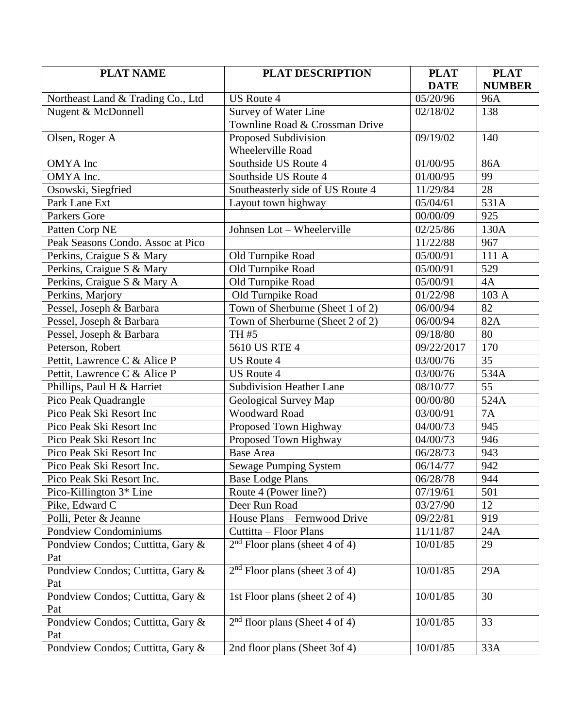| <b>PLAT NAME</b>                    | <b>PLAT DESCRIPTION</b>          | <b>PLAT</b> | <b>PLAT</b>       |
|-------------------------------------|----------------------------------|-------------|-------------------|
|                                     |                                  | <b>DATE</b> | <b>NUMBER</b>     |
| Northeast Land & Trading Co., Ltd   | <b>US Route 4</b>                | 05/20/96    | 96A               |
| Nugent & McDonnell                  | Survey of Water Line             | 02/18/02    | 138               |
|                                     | Townline Road & Crossman Drive   |             |                   |
| Olsen, Roger A                      | Proposed Subdivision             | 09/19/02    | 140               |
|                                     | Wheelerville Road                |             |                   |
| <b>OMYA</b> Inc                     | Southside US Route 4             | 01/00/95    | 86A               |
| OMYA Inc.                           | Southside US Route 4             | 01/00/95    | 99                |
| Osowski, Siegfried                  | Southeasterly side of US Route 4 | 11/29/84    | 28                |
| Park Lane Ext                       | Layout town highway              | 05/04/61    | $\overline{5}31A$ |
| Parkers Gore                        |                                  | 00/00/09    | 925               |
| Patten Corp NE                      | Johnsen Lot - Wheelerville       | 02/25/86    | 130A              |
| Peak Seasons Condo. Assoc at Pico   |                                  | 11/22/88    | 967               |
| Perkins, Craigue S & Mary           | Old Turnpike Road                | 05/00/91    | 111 A             |
| Perkins, Craigue S & Mary           | Old Turnpike Road                | 05/00/91    | 529               |
| Perkins, Craigue S & Mary A         | Old Turnpike Road                | 05/00/91    | 4A                |
| Perkins, Marjory                    | Old Turnpike Road                | 01/22/98    | 103 A             |
| Pessel, Joseph & Barbara            | Town of Sherburne (Sheet 1 of 2) | 06/00/94    | 82                |
| Pessel, Joseph & Barbara            | Town of Sherburne (Sheet 2 of 2) | 06/00/94    | 82A               |
| Pessel, Joseph & Barbara            | TH #5                            | 09/18/80    | 80                |
| Peterson, Robert                    | 5610 US RTE 4                    | 09/22/2017  | 170               |
| Pettit, Lawrence C & Alice P        | <b>US Route 4</b>                | 03/00/76    | 35                |
| Pettit, Lawrence C & Alice P        | <b>US Route 4</b>                | 03/00/76    | 534A              |
| Phillips, Paul H & Harriet          | <b>Subdivision Heather Lane</b>  | 08/10/77    | 55                |
| Pico Peak Quadrangle                | Geological Survey Map            | 00/00/80    | 524A              |
| Pico Peak Ski Resort Inc            | <b>Woodward Road</b>             | 03/00/91    | 7A                |
| Pico Peak Ski Resort Inc            | Proposed Town Highway            | 04/00/73    | 945               |
| Pico Peak Ski Resort Inc            | Proposed Town Highway            | 04/00/73    | 946               |
| Pico Peak Ski Resort Inc            | <b>Base Area</b>                 | 06/28/73    | 943               |
| Pico Peak Ski Resort Inc.           | Sewage Pumping System            | 06/14/77    | 942               |
| Pico Peak Ski Resort Inc.           | <b>Base Lodge Plans</b>          | 06/28/78    | 944               |
| Pico-Killington 3 <sup>*</sup> Line | Route 4 (Power line?)            | 07/19/61    | 501               |
| Pike, Edward C                      | Deer Run Road                    | 03/27/90    | 12                |
| Polli, Peter & Jeanne               | House Plans - Fernwood Drive     | 09/22/81    | 919               |
| <b>Pondview Condominiums</b>        | Cuttitta - Floor Plans           | 11/11/87    | 24A               |
| Pondview Condos; Cuttitta, Gary &   | $2nd$ Floor plans (sheet 4 of 4) | 10/01/85    | 29                |
| Pat                                 |                                  |             |                   |
| Pondview Condos; Cuttitta, Gary &   | $2nd$ Floor plans (sheet 3 of 4) | 10/01/85    | 29A               |
| Pat                                 |                                  |             |                   |
| Pondview Condos; Cuttitta, Gary &   | 1st Floor plans (sheet 2 of 4)   | 10/01/85    | 30                |
| Pat                                 |                                  |             |                   |
| Pondview Condos; Cuttitta, Gary &   | $2nd$ floor plans (Sheet 4 of 4) | 10/01/85    | 33                |
| Pat                                 |                                  |             |                   |
| Pondview Condos; Cuttitta, Gary &   | 2nd floor plans (Sheet 3of 4)    | 10/01/85    | 33A               |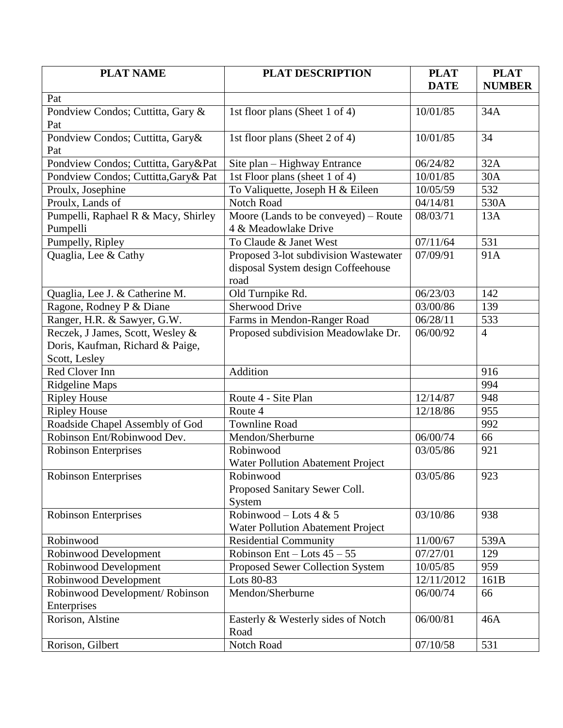| <b>PLAT NAME</b>                      | <b>PLAT DESCRIPTION</b>                  | <b>PLAT</b>        | <b>PLAT</b>    |
|---------------------------------------|------------------------------------------|--------------------|----------------|
|                                       |                                          | <b>DATE</b>        | <b>NUMBER</b>  |
| Pat                                   |                                          |                    |                |
| Pondview Condos; Cuttitta, Gary &     | 1st floor plans (Sheet 1 of 4)           | 10/01/85           | 34A            |
| Pat                                   |                                          |                    |                |
| Pondview Condos; Cuttitta, Gary&      | 1st floor plans (Sheet 2 of 4)           | 10/01/85           | 34             |
| Pat                                   |                                          |                    |                |
| Pondview Condos; Cuttitta, Gary&Pat   | Site plan - Highway Entrance             | 06/24/82           | 32A            |
| Pondview Condos; Cuttitta, Gary & Pat | 1st Floor plans (sheet 1 of 4)           | 10/01/85           | 30A            |
| Proulx, Josephine                     | To Valiquette, Joseph H & Eileen         | $\frac{10}{05/59}$ | 532            |
| Proulx, Lands of                      | <b>Notch Road</b>                        | 04/14/81           | 530A           |
| Pumpelli, Raphael R & Macy, Shirley   | Moore (Lands to be conveyed) – Route     | 08/03/71           | 13A            |
| Pumpelli                              | 4 & Meadowlake Drive                     |                    |                |
| Pumpelly, Ripley                      | To Claude & Janet West                   | 07/11/64           | 531            |
| Quaglia, Lee & Cathy                  | Proposed 3-lot subdivision Wastewater    | 07/09/91           | 91A            |
|                                       | disposal System design Coffeehouse       |                    |                |
|                                       | road                                     |                    |                |
| Quaglia, Lee J. & Catherine M.        | Old Turnpike Rd.                         | 06/23/03           | 142            |
| Ragone, Rodney P & Diane              | <b>Sherwood Drive</b>                    | 03/00/86           | 139            |
| Ranger, H.R. & Sawyer, G.W.           | Farms in Mendon-Ranger Road              | 06/28/11           | 533            |
| Reczek, J James, Scott, Wesley &      | Proposed subdivision Meadowlake Dr.      | 06/00/92           | $\overline{4}$ |
| Doris, Kaufman, Richard & Paige,      |                                          |                    |                |
| Scott, Lesley                         |                                          |                    |                |
| Red Clover Inn                        | Addition                                 |                    | 916            |
| Ridgeline Maps                        |                                          |                    | 994            |
| <b>Ripley House</b>                   | Route 4 - Site Plan                      | 12/14/87           | 948            |
| <b>Ripley House</b>                   | Route 4                                  | 12/18/86           | 955            |
| Roadside Chapel Assembly of God       | <b>Townline Road</b>                     |                    | 992            |
| Robinson Ent/Robinwood Dev.           | Mendon/Sherburne                         | 06/00/74           | 66             |
| <b>Robinson Enterprises</b>           | Robinwood                                | 03/05/86           | 921            |
|                                       | <b>Water Pollution Abatement Project</b> |                    |                |
| <b>Robinson Enterprises</b>           | Robinwood                                | 03/05/86           | 923            |
|                                       | Proposed Sanitary Sewer Coll.            |                    |                |
|                                       | System                                   |                    |                |
| Robinson Enterprises                  | Robinwood – Lots 4 & 5                   | 03/10/86           | 938            |
|                                       | Water Pollution Abatement Project        |                    |                |
| Robinwood                             | <b>Residential Community</b>             | 11/00/67           | 539A           |
| Robinwood Development                 | Robinson Ent – Lots $45 - 55$            | 07/27/01           | 129            |
| Robinwood Development                 | Proposed Sewer Collection System         | 10/05/85           | 959            |
| Robinwood Development                 | Lots 80-83                               | 12/11/2012         | 161B           |
| Robinwood Development/Robinson        | Mendon/Sherburne                         | 06/00/74           | 66             |
| Enterprises                           |                                          |                    |                |
| Rorison, Alstine                      | Easterly & Westerly sides of Notch       | 06/00/81           | 46A            |
|                                       | Road                                     |                    |                |
| Rorison, Gilbert                      | Notch Road                               | 07/10/58           | 531            |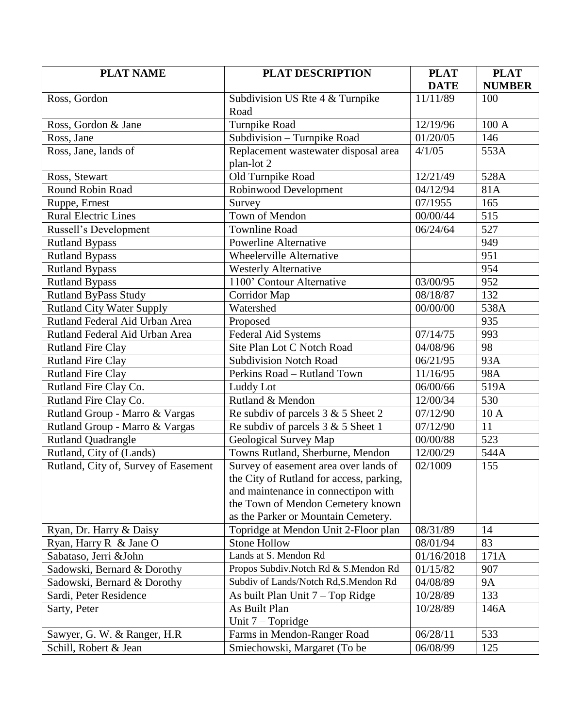| <b>PLAT NAME</b>                     | <b>PLAT DESCRIPTION</b>                  | <b>PLAT</b> | <b>PLAT</b>       |
|--------------------------------------|------------------------------------------|-------------|-------------------|
|                                      |                                          | <b>DATE</b> | <b>NUMBER</b>     |
| Ross, Gordon                         | Subdivision US Rte 4 & Turnpike          | 11/11/89    | 100               |
|                                      | Road                                     |             |                   |
| Ross, Gordon & Jane                  | Turnpike Road                            | 12/19/96    | 100 A             |
| Ross, Jane                           | Subdivision - Turnpike Road              | 01/20/05    | 146               |
| Ross, Jane, lands of                 | Replacement wastewater disposal area     | 4/1/05      | 553A              |
|                                      | plan-lot 2                               |             |                   |
| Ross, Stewart                        | Old Turnpike Road                        | 12/21/49    | 528A              |
| Round Robin Road                     | Robinwood Development                    | 04/12/94    | 81A               |
| Ruppe, Ernest                        | Survey                                   | 07/1955     | 165               |
| <b>Rural Electric Lines</b>          | Town of Mendon                           | 00/00/44    | 515               |
| Russell's Development                | <b>Townline Road</b>                     | 06/24/64    | 527               |
| <b>Rutland Bypass</b>                | <b>Powerline Alternative</b>             |             | 949               |
| <b>Rutland Bypass</b>                | Wheelerville Alternative                 |             | $\overline{951}$  |
| <b>Rutland Bypass</b>                | <b>Westerly Alternative</b>              |             | 954               |
| <b>Rutland Bypass</b>                | 1100' Contour Alternative                | 03/00/95    | 952               |
| Rutland ByPass Study                 | Corridor Map                             | 08/18/87    | 132               |
| <b>Rutland City Water Supply</b>     | Watershed                                | 00/00/00    | $\overline{5}38A$ |
| Rutland Federal Aid Urban Area       | Proposed                                 |             | 935               |
| Rutland Federal Aid Urban Area       | <b>Federal Aid Systems</b>               | 07/14/75    | 993               |
| <b>Rutland Fire Clay</b>             | Site Plan Lot C Notch Road               | 04/08/96    | 98                |
| Rutland Fire Clay                    | <b>Subdivision Notch Road</b>            | 06/21/95    | 93A               |
| <b>Rutland Fire Clay</b>             | Perkins Road - Rutland Town              | 11/16/95    | 98A               |
| Rutland Fire Clay Co.                | Luddy Lot                                | 06/00/66    | 519A              |
| Rutland Fire Clay Co.                | Rutland & Mendon                         | 12/00/34    | 530               |
| Rutland Group - Marro & Vargas       | Re subdiv of parcels $3 & 5$ Sheet 2     | 07/12/90    | 10A               |
| Rutland Group - Marro & Vargas       | Re subdiv of parcels $3 & 5$ Sheet 1     | 07/12/90    | 11                |
| <b>Rutland Quadrangle</b>            | Geological Survey Map                    | 00/00/88    | 523               |
| Rutland, City of (Lands)             | Towns Rutland, Sherburne, Mendon         | 12/00/29    | 544A              |
| Rutland, City of, Survey of Easement | Survey of easement area over lands of    | 02/1009     | 155               |
|                                      | the City of Rutland for access, parking, |             |                   |
|                                      | and maintenance in connectipon with      |             |                   |
|                                      | the Town of Mendon Cemetery known        |             |                   |
|                                      | as the Parker or Mountain Cemetery.      |             |                   |
| Ryan, Dr. Harry & Daisy              | Topridge at Mendon Unit 2-Floor plan     | 08/31/89    | 14                |
| Ryan, Harry R & Jane O               | <b>Stone Hollow</b>                      | 08/01/94    | 83                |
| Sabataso, Jerri &John                | Lands at S. Mendon Rd                    | 01/16/2018  | 171A              |
| Sadowski, Bernard & Dorothy          | Propos Subdiv. Notch Rd & S. Mendon Rd   | 01/15/82    | 907               |
| Sadowski, Bernard & Dorothy          | Subdiv of Lands/Notch Rd, S. Mendon Rd   | 04/08/89    | <b>9A</b>         |
| Sardi, Peter Residence               | As built Plan Unit $7 - Top$ Ridge       | 10/28/89    | 133               |
| Sarty, Peter                         | As Built Plan                            | 10/28/89    | 146A              |
|                                      | Unit $7$ – Topridge                      |             |                   |
| Sawyer, G. W. & Ranger, H.R.         | Farms in Mendon-Ranger Road              | 06/28/11    | 533               |
| Schill, Robert & Jean                | Smiechowski, Margaret (To be             | 06/08/99    | 125               |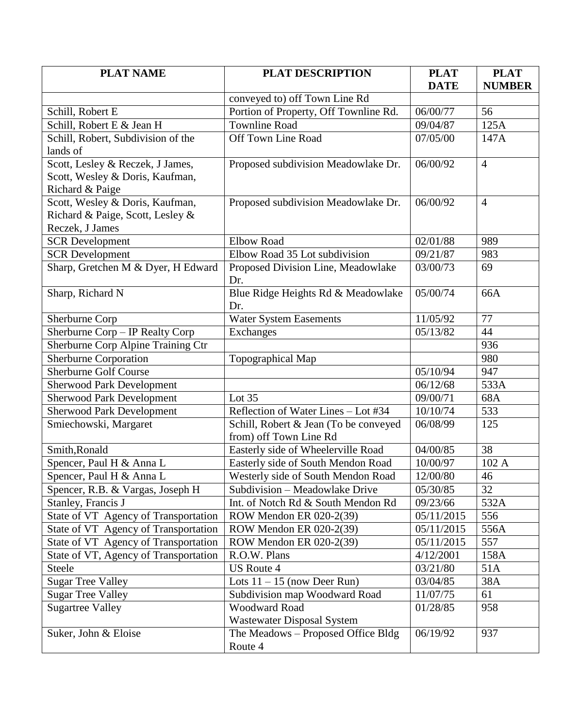| <b>PLAT NAME</b>                      | <b>PLAT DESCRIPTION</b>                                                | <b>PLAT</b>           | <b>PLAT</b>    |
|---------------------------------------|------------------------------------------------------------------------|-----------------------|----------------|
|                                       |                                                                        | <b>DATE</b>           | <b>NUMBER</b>  |
| Schill, Robert E                      | conveyed to) off Town Line Rd<br>Portion of Property, Off Townline Rd. | 06/00/77              | 56             |
| Schill, Robert E & Jean H             | <b>Townline Road</b>                                                   | 09/04/87              | 125A           |
| Schill, Robert, Subdivision of the    | Off Town Line Road                                                     | 07/05/00              | 147A           |
| lands of                              |                                                                        |                       |                |
| Scott, Lesley & Reczek, J James,      | Proposed subdivision Meadowlake Dr.                                    | 06/00/92              | $\overline{4}$ |
| Scott, Wesley & Doris, Kaufman,       |                                                                        |                       |                |
| Richard & Paige                       |                                                                        |                       |                |
| Scott, Wesley & Doris, Kaufman,       | Proposed subdivision Meadowlake Dr.                                    | 06/00/92              | $\overline{4}$ |
| Richard & Paige, Scott, Lesley &      |                                                                        |                       |                |
| Reczek, J James                       |                                                                        |                       |                |
| <b>SCR Development</b>                | <b>Elbow Road</b>                                                      | 02/01/88              | 989            |
| <b>SCR Development</b>                | Elbow Road 35 Lot subdivision                                          | 09/21/87              | 983            |
| Sharp, Gretchen M & Dyer, H Edward    | Proposed Division Line, Meadowlake                                     | 03/00/73              | 69             |
|                                       | Dr.                                                                    |                       |                |
| Sharp, Richard N                      | Blue Ridge Heights Rd & Meadowlake                                     | 05/00/74              | 66A            |
|                                       | Dr.                                                                    |                       |                |
| Sherburne Corp                        | <b>Water System Easements</b>                                          | 11/05/92              | 77             |
| Sherburne Corp - IP Realty Corp       | Exchanges                                                              | 05/13/82              | 44             |
| Sherburne Corp Alpine Training Ctr    |                                                                        |                       | 936            |
| <b>Sherburne Corporation</b>          | Topographical Map                                                      |                       | 980            |
| <b>Sherburne Golf Course</b>          |                                                                        | $\overline{05/10/94}$ | 947            |
| <b>Sherwood Park Development</b>      |                                                                        | 06/12/68              | 533A           |
| <b>Sherwood Park Development</b>      | Lot 35                                                                 | 09/00/71              | 68A            |
| <b>Sherwood Park Development</b>      | Reflection of Water Lines - Lot #34                                    | 10/10/74              | 533            |
| Smiechowski, Margaret                 | Schill, Robert & Jean (To be conveyed                                  | 06/08/99              | 125            |
|                                       | from) off Town Line Rd                                                 |                       |                |
| Smith, Ronald                         | Easterly side of Wheelerville Road                                     | $\sqrt{04/00/85}$     | 38             |
| Spencer, Paul H & Anna L              | Easterly side of South Mendon Road                                     | 10/00/97              | 102 A          |
| Spencer, Paul H & Anna L              | Westerly side of South Mendon Road                                     | 12/00/80              | 46             |
| Spencer, R.B. & Vargas, Joseph H      | Subdivision - Meadowlake Drive                                         | 05/30/85              | 32             |
| Stanley, Francis J                    | Int. of Notch Rd & South Mendon Rd                                     | 09/23/66              | 532A           |
| State of VT Agency of Transportation  | ROW Mendon ER 020-2(39)                                                | 05/11/2015            | 556            |
| State of VT Agency of Transportation  | ROW Mendon ER 020-2(39)                                                | 05/11/2015            | 556A           |
| State of VT Agency of Transportation  | ROW Mendon ER 020-2(39)                                                | 05/11/2015            | 557            |
| State of VT, Agency of Transportation | R.O.W. Plans                                                           | 4/12/2001             | 158A           |
| <b>Steele</b>                         | <b>US Route 4</b>                                                      | 03/21/80              | 51A            |
| <b>Sugar Tree Valley</b>              | Lots $11 - 15$ (now Deer Run)                                          | 03/04/85              | 38A            |
| <b>Sugar Tree Valley</b>              | Subdivision map Woodward Road                                          | 11/07/75              | 61             |
| <b>Sugartree Valley</b>               | <b>Woodward Road</b>                                                   | 01/28/85              | 958            |
|                                       | <b>Wastewater Disposal System</b>                                      |                       |                |
| Suker, John & Eloise                  | The Meadows - Proposed Office Bldg                                     | 06/19/92              | 937            |
|                                       | Route 4                                                                |                       |                |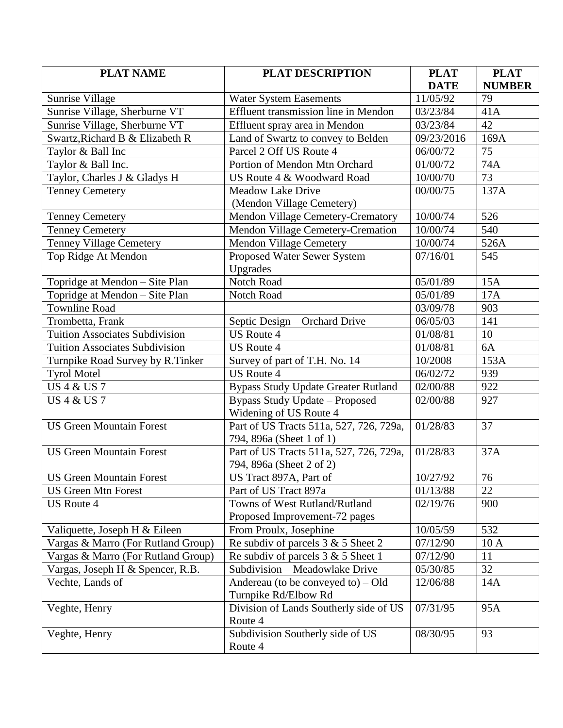| <b>PLAT NAME</b>                      | <b>PLAT DESCRIPTION</b>                    | <b>PLAT</b> | <b>PLAT</b>   |
|---------------------------------------|--------------------------------------------|-------------|---------------|
|                                       |                                            | <b>DATE</b> | <b>NUMBER</b> |
| Sunrise Village                       | Water System Easements                     | 11/05/92    | 79            |
| Sunrise Village, Sherburne VT         | Effluent transmission line in Mendon       | 03/23/84    | 41A           |
| Sunrise Village, Sherburne VT         | Effluent spray area in Mendon              | 03/23/84    | 42            |
| Swartz, Richard B & Elizabeth R       | Land of Swartz to convey to Belden         | 09/23/2016  | 169A          |
| Taylor & Ball Inc                     | Parcel 2 Off US Route 4                    | 06/00/72    | 75            |
| Taylor & Ball Inc.                    | Portion of Mendon Mtn Orchard              | 01/00/72    | 74A           |
| Taylor, Charles J & Gladys H          | US Route 4 & Woodward Road                 | 10/00/70    | 73            |
| <b>Tenney Cemetery</b>                | <b>Meadow Lake Drive</b>                   | 00/00/75    | 137A          |
|                                       | (Mendon Village Cemetery)                  |             |               |
| <b>Tenney Cemetery</b>                | <b>Mendon Village Cemetery-Crematory</b>   | 10/00/74    | 526           |
| <b>Tenney Cemetery</b>                | Mendon Village Cemetery-Cremation          | 10/00/74    | 540           |
| <b>Tenney Village Cemetery</b>        | Mendon Village Cemetery                    | 10/00/74    | 526A          |
| Top Ridge At Mendon                   | Proposed Water Sewer System                | 07/16/01    | 545           |
|                                       | Upgrades                                   |             |               |
| Topridge at Mendon - Site Plan        | Notch Road                                 | 05/01/89    | 15A           |
| Topridge at Mendon - Site Plan        | Notch Road                                 | 05/01/89    | 17A           |
| <b>Townline Road</b>                  |                                            | 03/09/78    | 903           |
| Trombetta, Frank                      | Septic Design - Orchard Drive              | 06/05/03    | 141           |
| <b>Tuition Associates Subdivision</b> | <b>US Route 4</b>                          | 01/08/81    | 10            |
| <b>Tuition Associates Subdivision</b> | <b>US Route 4</b>                          | 01/08/81    | 6A            |
| Turnpike Road Survey by R.Tinker      | Survey of part of T.H. No. 14              | 10/2008     | 153A          |
| <b>Tyrol Motel</b>                    | <b>US Route 4</b>                          | 06/02/72    | 939           |
| <b>US 4 &amp; US 7</b>                | <b>Bypass Study Update Greater Rutland</b> | 02/00/88    | 922           |
| <b>US 4 &amp; US 7</b>                | <b>Bypass Study Update - Proposed</b>      | 02/00/88    | 927           |
|                                       | Widening of US Route 4                     |             |               |
| <b>US Green Mountain Forest</b>       | Part of US Tracts 511a, 527, 726, 729a,    | 01/28/83    | 37            |
|                                       | 794, 896a (Sheet 1 of 1)                   |             |               |
| <b>US Green Mountain Forest</b>       | Part of US Tracts 511a, 527, 726, 729a,    | 01/28/83    | 37A           |
|                                       | 794, 896a (Sheet 2 of 2)                   |             |               |
| <b>US Green Mountain Forest</b>       | US Tract 897A, Part of                     | 10/27/92    | 76            |
| <b>US Green Mtn Forest</b>            | Part of US Tract 897a                      | 01/13/88    | 22            |
| <b>US Route 4</b>                     | Towns of West Rutland/Rutland              | 02/19/76    | 900           |
|                                       | Proposed Improvement-72 pages              |             |               |
| Valiquette, Joseph H & Eileen         | From Proulx, Josephine                     | 10/05/59    | 532           |
| Vargas & Marro (For Rutland Group)    | Re subdiv of parcels 3 & 5 Sheet 2         | 07/12/90    | 10 A          |
| Vargas & Marro (For Rutland Group)    | Re subdiv of parcels $3 & 5$ Sheet 1       | 07/12/90    | 11            |
| Vargas, Joseph H & Spencer, R.B.      | Subdivision - Meadowlake Drive             | 05/30/85    | 32            |
| Vechte, Lands of                      | Andereau (to be conveyed to) $-$ Old       | 12/06/88    | 14A           |
|                                       | Turnpike Rd/Elbow Rd                       |             |               |
| Veghte, Henry                         | Division of Lands Southerly side of US     | 07/31/95    | 95A           |
|                                       | Route 4                                    |             |               |
| Veghte, Henry                         | Subdivision Southerly side of US           | 08/30/95    | 93            |
|                                       | Route 4                                    |             |               |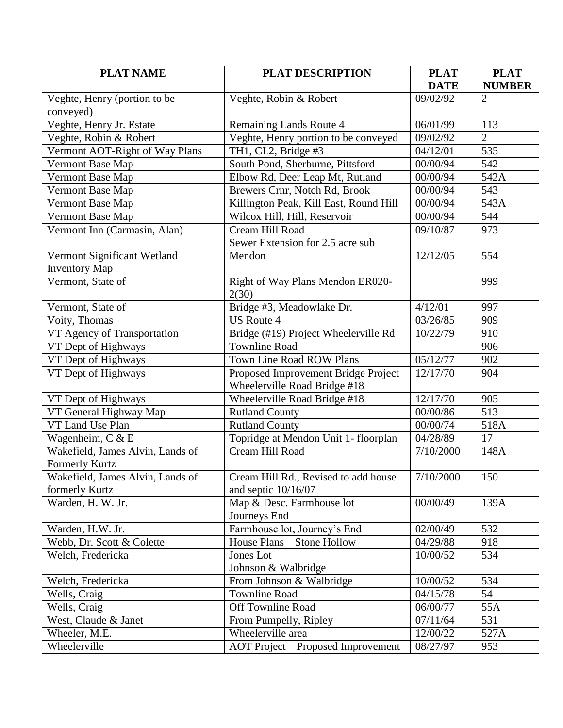| <b>PLAT NAME</b>                 | <b>PLAT DESCRIPTION</b>                   | <b>PLAT</b>        | <b>PLAT</b>    |
|----------------------------------|-------------------------------------------|--------------------|----------------|
|                                  |                                           | <b>DATE</b>        | <b>NUMBER</b>  |
| Veghte, Henry (portion to be     | Veghte, Robin & Robert                    | 09/02/92           | $\overline{2}$ |
| conveyed)                        |                                           |                    |                |
| Veghte, Henry Jr. Estate         | Remaining Lands Route 4                   | 06/01/99           | 113            |
| Veghte, Robin & Robert           | Veghte, Henry portion to be conveyed      | 09/02/92           | $\overline{2}$ |
| Vermont AOT-Right of Way Plans   | TH1, CL2, Bridge #3                       | 04/12/01           | 535            |
| Vermont Base Map                 | South Pond, Sherburne, Pittsford          | 00/00/94           | 542            |
| Vermont Base Map                 | Elbow Rd, Deer Leap Mt, Rutland           | 00/00/94           | 542A           |
| Vermont Base Map                 | Brewers Crnr, Notch Rd, Brook             | 00/00/94           | 543            |
| Vermont Base Map                 | Killington Peak, Kill East, Round Hill    | 00/00/94           | 543A           |
| Vermont Base Map                 | Wilcox Hill, Hill, Reservoir              | 00/00/94           | 544            |
| Vermont Inn (Carmasin, Alan)     | Cream Hill Road                           | 09/10/87           | 973            |
|                                  | Sewer Extension for 2.5 acre sub          |                    |                |
| Vermont Significant Wetland      | Mendon                                    | 12/12/05           | 554            |
| <b>Inventory Map</b>             |                                           |                    |                |
| Vermont, State of                | Right of Way Plans Mendon ER020-<br>2(30) |                    | 999            |
| Vermont, State of                | Bridge #3, Meadowlake Dr.                 | 4/12/01            | 997            |
| Voity, Thomas                    | <b>US Route 4</b>                         | 03/26/85           | 909            |
| VT Agency of Transportation      | Bridge (#19) Project Wheelerville Rd      | 10/22/79           | 910            |
| VT Dept of Highways              | <b>Townline Road</b>                      |                    | 906            |
| VT Dept of Highways              | <b>Town Line Road ROW Plans</b>           | 05/12/77           | 902            |
| VT Dept of Highways              | Proposed Improvement Bridge Project       | 12/17/70           | 904            |
|                                  | Wheelerville Road Bridge #18              |                    |                |
| VT Dept of Highways              | Wheelerville Road Bridge #18              | 12/17/70           | 905            |
| VT General Highway Map           | <b>Rutland County</b>                     | 00/00/86           | 513            |
| VT Land Use Plan                 | <b>Rutland County</b>                     | 00/00/74           | 518A           |
| Wagenheim, C & E                 | Topridge at Mendon Unit 1- floorplan      | 04/28/89           | 17             |
| Wakefield, James Alvin, Lands of | Cream Hill Road                           | 7/10/2000          | 148A           |
| <b>Formerly Kurtz</b>            |                                           |                    |                |
| Wakefield, James Alvin, Lands of | Cream Hill Rd., Revised to add house      | $\sqrt{7/10/2000}$ | 150            |
| formerly Kurtz                   | and septic $10/16/07$                     |                    |                |
| Warden, H. W. Jr.                | Map & Desc. Farmhouse lot                 | 00/00/49           | 139A           |
|                                  | Journeys End                              |                    |                |
| Warden, H.W. Jr.                 | Farmhouse lot, Journey's End              | 02/00/49           | 532            |
| Webb, Dr. Scott & Colette        | House Plans - Stone Hollow                | 04/29/88           | 918            |
| Welch, Fredericka                | Jones Lot                                 | 10/00/52           | 534            |
|                                  | Johnson & Walbridge                       |                    |                |
| Welch, Fredericka                | From Johnson & Walbridge                  | 10/00/52           | 534            |
| Wells, Craig                     | <b>Townline Road</b>                      | 04/15/78           | 54             |
| Wells, Craig                     | Off Townline Road                         | 06/00/77           | 55A            |
| West, Claude & Janet             | From Pumpelly, Ripley                     | 07/11/64           | 531            |
| Wheeler, M.E.                    | Wheelerville area                         | 12/00/22           | 527A           |
| Wheelerville                     | <b>AOT Project – Proposed Improvement</b> | 08/27/97           | 953            |